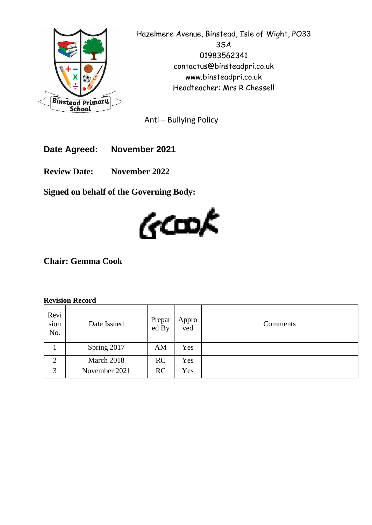

Hazelmere Avenue, Binstead, Isle of Wight, PO33 3SA 01983562341 contactus@binsteadpri.co.uk www.binsteadpri.co.uk Headteacher: Mrs R Chessell

Anti – Bullying Policy

**Date Agreed: November 2021**

**Review Date: November 2022**

**Signed on behalf of the Governing Body:**



**Chair: Gemma Cook**

#### **Revision Record**

| Revi<br>sion<br>No. | Date Issued   | Prepar<br>ed By | Appro<br>ved | Comments |
|---------------------|---------------|-----------------|--------------|----------|
|                     | Spring 2017   | AM              | Yes          |          |
| $\overline{2}$      | March 2018    | RC              | Yes          |          |
| 3                   | November 2021 | RC              | Yes          |          |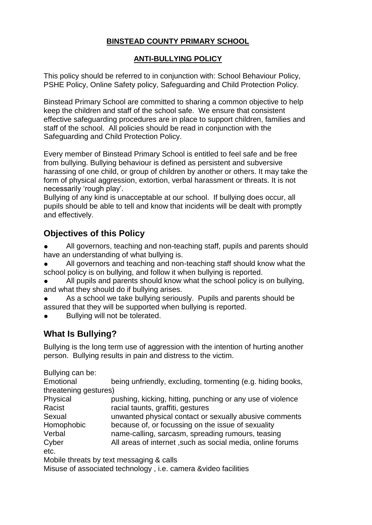### **BINSTEAD COUNTY PRIMARY SCHOOL**

### **ANTI-BULLYING POLICY**

This policy should be referred to in conjunction with: School Behaviour Policy, PSHE Policy, Online Safety policy, Safeguarding and Child Protection Policy.

Binstead Primary School are committed to sharing a common objective to help keep the children and staff of the school safe. We ensure that consistent effective safeguarding procedures are in place to support children, families and staff of the school. All policies should be read in conjunction with the Safeguarding and Child Protection Policy.

Every member of Binstead Primary School is entitled to feel safe and be free from bullying. Bullying behaviour is defined as persistent and subversive harassing of one child, or group of children by another or others. It may take the form of physical aggression, extortion, verbal harassment or threats. It is not necessarily 'rough play'.

Bullying of any kind is unacceptable at our school. If bullying does occur, all pupils should be able to tell and know that incidents will be dealt with promptly and effectively.

## **Objectives of this Policy**

- All governors, teaching and non-teaching staff, pupils and parents should have an understanding of what bullying is.
- All governors and teaching and non-teaching staff should know what the school policy is on bullying, and follow it when bullying is reported.
- All pupils and parents should know what the school policy is on bullying, and what they should do if bullying arises.
- As a school we take bullying seriously. Pupils and parents should be assured that they will be supported when bullying is reported.
- Bullying will not be tolerated.

## **What Is Bullying?**

Bullying is the long term use of aggression with the intention of hurting another person. Bullying results in pain and distress to the victim.

Bullying can be: Emotional being unfriendly, excluding, tormenting (e.g. hiding books, threatening gestures) Physical pushing, kicking, hitting, punching or any use of violence Racist racial taunts, graffiti, gestures Sexual unwanted physical contact or sexually abusive comments Homophobic because of, or focussing on the issue of sexuality Verbal name-calling, sarcasm, spreading rumours, teasing Cyber All areas of internet ,such as social media, online forums etc. Mobile threats by text messaging & calls

Misuse of associated technology , i.e. camera &video facilities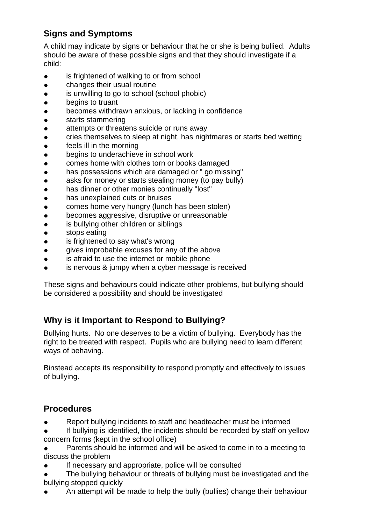# **Signs and Symptoms**

A child may indicate by signs or behaviour that he or she is being bullied. Adults should be aware of these possible signs and that they should investigate if a child:

- is frightened of walking to or from school
- changes their usual routine
- is unwilling to go to school (school phobic)
- begins to truant
- becomes withdrawn anxious, or lacking in confidence
- starts stammering
- attempts or threatens suicide or runs away
- cries themselves to sleep at night, has nightmares or starts bed wetting
- **•** feels ill in the morning
- begins to underachieve in school work
- comes home with clothes torn or books damaged
- has possessions which are damaged or " go missing"
- asks for money or starts stealing money (to pay bully)
- has dinner or other monies continually "lost"
- has unexplained cuts or bruises
- comes home very hungry (lunch has been stolen)
- becomes aggressive, disruptive or unreasonable
- is bullying other children or siblings
- stops eating
- is frightened to say what's wrong
- gives improbable excuses for any of the above
- is afraid to use the internet or mobile phone
- is nervous & jumpy when a cyber message is received

These signs and behaviours could indicate other problems, but bullying should be considered a possibility and should be investigated

# **Why is it Important to Respond to Bullying?**

Bullying hurts. No one deserves to be a victim of bullying. Everybody has the right to be treated with respect. Pupils who are bullying need to learn different ways of behaving.

Binstead accepts its responsibility to respond promptly and effectively to issues of bullying.

# **Procedures**

- Report bullying incidents to staff and headteacher must be informed
- If bullying is identified, the incidents should be recorded by staff on yellow concern forms (kept in the school office)
- Parents should be informed and will be asked to come in to a meeting to discuss the problem
- If necessary and appropriate, police will be consulted
- The bullying behaviour or threats of bullying must be investigated and the bullying stopped quickly
- An attempt will be made to help the bully (bullies) change their behaviour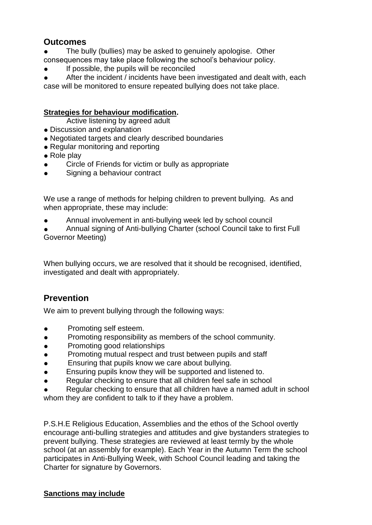### **Outcomes**

- The bully (bullies) may be asked to genuinely apologise. Other consequences may take place following the school's behaviour policy.
- If possible, the pupils will be reconciled

After the incident / incidents have been investigated and dealt with, each case will be monitored to ensure repeated bullying does not take place.

### **Strategies for behaviour modification.**

Active listening by agreed adult

- Discussion and explanation
- Negotiated targets and clearly described boundaries
- Regular monitoring and reporting
- Role play
- Circle of Friends for victim or bully as appropriate
- Signing a behaviour contract

We use a range of methods for helping children to prevent bullying. As and when appropriate, these may include:

- Annual involvement in anti-bullying week led by school council
- Annual signing of Anti-bullying Charter (school Council take to first Full Governor Meeting)

When bullying occurs, we are resolved that it should be recognised, identified, investigated and dealt with appropriately.

# **Prevention**

We aim to prevent bullying through the following ways:

- Promoting self esteem.
- Promoting responsibility as members of the school community.
- Promoting good relationships
- Promoting mutual respect and trust between pupils and staff
- Ensuring that pupils know we care about bullying.
- Ensuring pupils know they will be supported and listened to.
- Regular checking to ensure that all children feel safe in school
- Regular checking to ensure that all children have a named adult in school

whom they are confident to talk to if they have a problem.

P.S.H.E Religious Education, Assemblies and the ethos of the School overtly encourage anti-bulling strategies and attitudes and give bystanders strategies to prevent bullying. These strategies are reviewed at least termly by the whole school (at an assembly for example). Each Year in the Autumn Term the school participates in Anti-Bullying Week, with School Council leading and taking the Charter for signature by Governors.

#### **Sanctions may include**